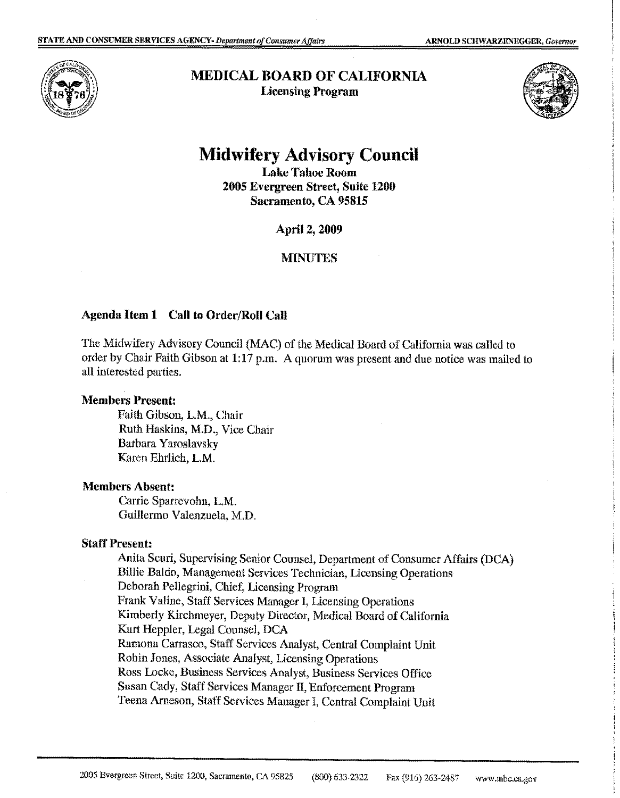

**MEDICAL BOARD OF CALIFORNIA Licensing Program** 



# **Midwifery Advisory Council**

**Lake Tahoe Room 2005 Evergreen Street, Snite 1200 Sacramento, CA 95815** 

**April 2, 2009** 

# **MINUTES**

## **Agenda Item 1 Call to Order/Roll Call**

The Midwifery Advisory Council (MAC) of the Medical Board of California was called to order by Chair Faith Gibson at **1:17** p.m. A quorum was present and due notice was mailed to all interested parties.

#### **:Members Present:**

Faith Gibson, L.M., Chair Ruth Haskins, M.D., Vice Chair Barbara **Y**aroslavsky Karen Ehrlich, **L.M.** 

#### **Members Absent:**

Carrie Sparrevohn, L.M. Guillermo Valenzuela, M.D.

#### **Staff Present:**

Anita Scuri, Supervising Senior Counsel, Department of Consumer Affairs (DCA) Billie Baldo, Management Services Technician, Licensing Operations Deborah Pellegrini, Chief, Licensing Program Frank Valine, Staff Services Manager I, Licensing Operations Kimberly Kirchmeyer, Deputy Director, Medical Board of California Kurt Heppler, Legal Counsel, DCA Ramona Carrasco, Staff Services Analyst, Central Complaint Unit Robin Jones, Associate Analyst, Licensing Operations Ross Locke, Business Services Analyst, Business Services Office Susan Cady, Staff Services Manager II, Enforcement Program Teena Arneson, Staff Services Manager I, Central Complaint Unit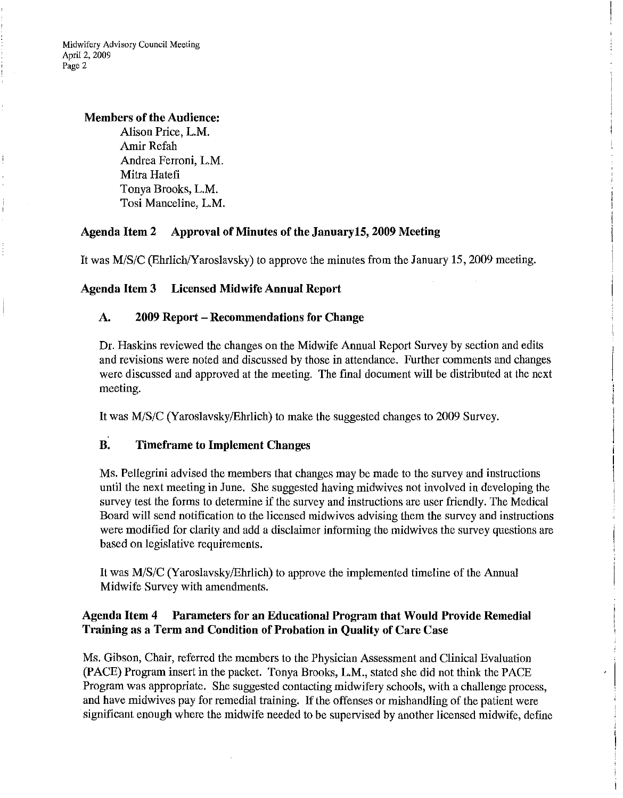**Midwifery Advisory Council Meeting**  April 2, 2009 Page 2

### **Members of the Audience:**

Alison Price, **L.M.**  Amir Refah Andrea Ferroni, L.M. Mitra Hatefi Tonya Brooks, L.M. Tosi Manceline, L.M.

# **Agenda Item 2 Approval of Minutes of the January 15, 2009 Meeting**

It was M/S/C (Ehrlich/Yaroslavsky) to approve the minutes from the January 15, 2009 meeting.

# **Agenda Item 3 Licensed Midwife Annual Report**

## **A. 2009 Report - Recommendations for Change**

Dr. Haskins reviewed the changes on the Midwife Annual Report Survey by section and edits and revisions were noted and discussed by those in attendance. Further comments and changes were discussed and approved at the meeting. The final document will be distributed at the next meeting.

It was M/S/C (Y aroslavsky/Ehrlich) to make the suggested changes to 2009 Survey.

# **B. Timeframe to Implement Changes**

Ms. Pellegrini advised the members that changes may be made to the survey and instructions until the next meeting in June. She suggested having midwives not involved in developing the survey test the forms to determine if the survey and instructions are user friendly. The Medical Board will send notification to the licensed midwives advising them the survey and instructions were modified for clarity and add a disclaimer informing the midwives the survey questions are based on legislative requirements.

It was M/S/C (Yaroslavsky/Ehrlich) to approve the implemented timeline of the Annual Midwife Survey with amendments.

# **Agenda Item 4 Parameters for an Educational Program that Would Provide Remedial Training as a Term and Condition of Probation in Quality of Care Case**

Ms. Gibson, Chair, referred the members to the Physician Assessment and Clinical Evaluation (PACE) Program insert in the packet. Tonya Brooks, **L.M.,** stated she did not think the PACE Program was appropriate. She suggested contacting midwifery schools, with a challenge process, and have midwives pay for remedial training. If the offenses or mishandling of the patient were significant enough where the midwife needed to be supervised by another licensed midwife, define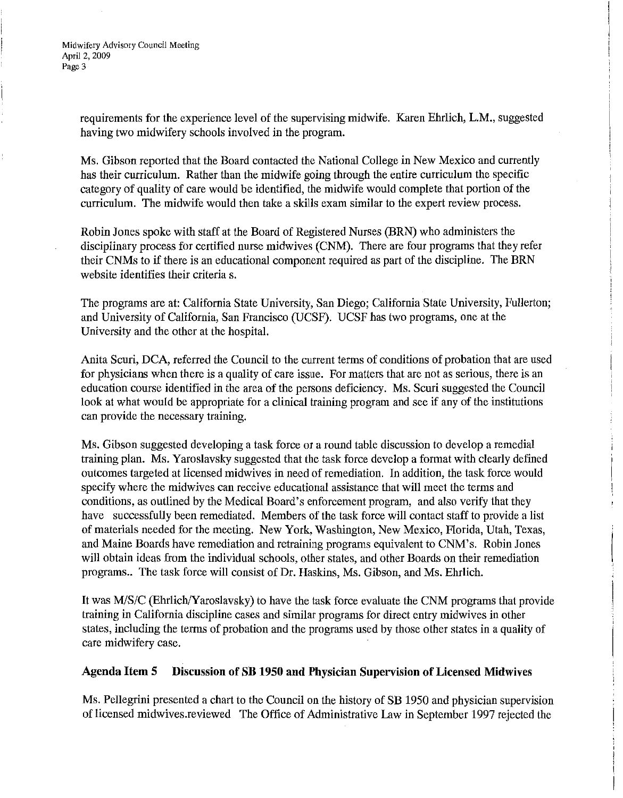requirements for the experience level of the supervising midwife. Karen Ehrlich, L.M., suggested having two midwifery schools involved in the program.

Ms. Gibson reported that the Board contacted the National College in New Mexico and currently has their curriculum. Rather than the midwife going through the entire curriculum the specific category of quality of care would be identified, the midwife would complete that portion of the curriculum. The midwife would then take a skills exam similar to the expert review process.

Robin Jones spoke with staff at the Board of Registered Nurses (BRN) who administers the disciplinary process for certified nurse midwives (CNM). There are four programs that they refer their CNMs to if there is an educational component required as part of the discipline. The BRN website identifies their criteria s.

The programs are at: California State University, San Diego; California State University, Fullerton; and University of California, San Francisco (UCSF). UCSF has two programs, one at the University and the other at the hospital.

Anita Scuri, DCA, referred the Council to the current terms of conditions of probation that are used for physicians when there is a quality of care issue. For matters that are not as serious, there is an education course identified in the area of the persons deficiency. Ms. Scuri suggested the Council look at what would be appropriate for a clinical training program and see if any of the institutions can provide the necessary training.

Ms. Gibson suggested developing a task force or a round table discussion to develop a remedial training plan. Ms. Yaroslavsky suggested that the task force develop a format with clearly defined outcomes targeted at licensed midwives in need of remediation. In addition, the task force would specify where the midwives can receive educational assistance that will meet the terms and conditions, as outlined by the Medical Board's enforcement program, and also verify that they have successfully been remediated. Members of the task force will contact staff to provide a list of materials needed for the meeting. New York, Washington, New Mexico, Florida, Utah, Texas, and Maine Boards have remediation and retraining programs equivalent to CNM's. Robin Jones will obtain ideas from the individual schools, other states, and other Boards on their remediation programs.. The task force will consist of Dr. Haskins, Ms. Gibson, and Ms. Ehrlich.

It was M/S/C (Ehrlich/Yaroslavsky) to have the task force evaluate the CNM programs that provide training in California discipline cases and similar programs for direct entry midwives in other states, including the terms of probation and the programs used by those other states in a quality of care midwifery case.

# **Agenda Item 5 Discussion of SB 1950 and Physician Supervision of Licensed Midwives**

Ms. Pellegrini presented a chart to the Council on the history of **SB** 1950 and physician supervision of licensed midwives.reviewed The Office of Administrative Law in September 1997 rejected the